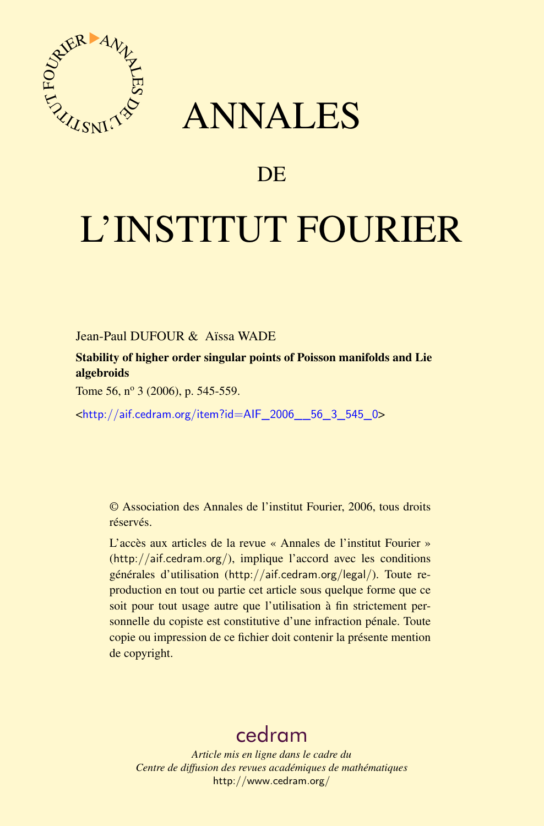

## ANNALES

## **DE**

# L'INSTITUT FOURIER

Jean-Paul DUFOUR & Aïssa WADE

Stability of higher order singular points of Poisson manifolds and Lie algebroids

Tome 56,  $n^{\circ}$  3 (2006), p. 545-559.

<[http://aif.cedram.org/item?id=AIF\\_2006\\_\\_56\\_3\\_545\\_0](http://aif.cedram.org/item?id=AIF_2006__56_3_545_0)>

© Association des Annales de l'institut Fourier, 2006, tous droits réservés.

L'accès aux articles de la revue « Annales de l'institut Fourier » (<http://aif.cedram.org/>), implique l'accord avec les conditions générales d'utilisation (<http://aif.cedram.org/legal/>). Toute reproduction en tout ou partie cet article sous quelque forme que ce soit pour tout usage autre que l'utilisation à fin strictement personnelle du copiste est constitutive d'une infraction pénale. Toute copie ou impression de ce fichier doit contenir la présente mention de copyright.

## [cedram](http://www.cedram.org/)

*Article mis en ligne dans le cadre du Centre de diffusion des revues académiques de mathématiques* <http://www.cedram.org/>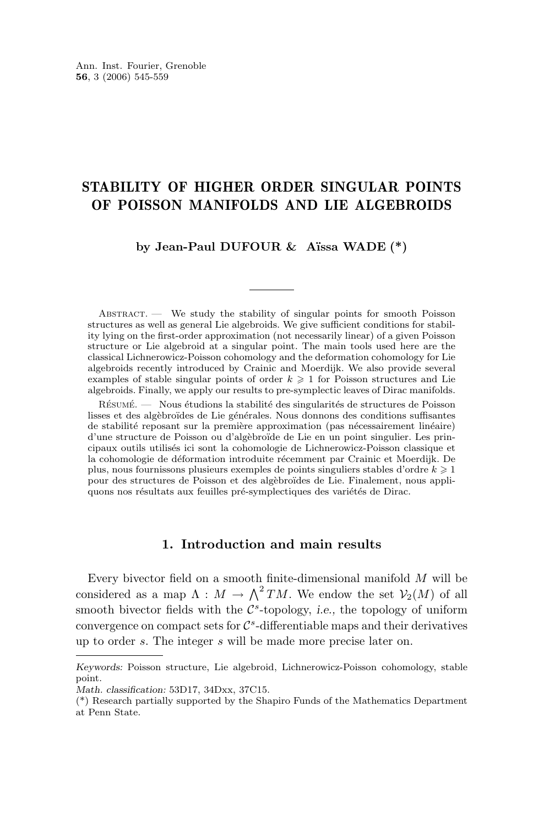### STABILITY OF HIGHER ORDER SINGULAR POINTS OF POISSON MANIFOLDS AND LIE ALGEBROIDS

**by Jean-Paul DUFOUR & Aïssa WADE (\*)**

Abstract. — We study the stability of singular points for smooth Poisson structures as well as general Lie algebroids. We give sufficient conditions for stability lying on the first-order approximation (not necessarily linear) of a given Poisson structure or Lie algebroid at a singular point. The main tools used here are the classical Lichnerowicz-Poisson cohomology and the deformation cohomology for Lie algebroids recently introduced by Crainic and Moerdijk. We also provide several examples of stable singular points of order  $k \geq 1$  for Poisson structures and Lie algebroids. Finally, we apply our results to pre-symplectic leaves of Dirac manifolds.

Résumé. — Nous étudions la stabilité des singularités de structures de Poisson lisses et des algèbroïdes de Lie générales. Nous donnons des conditions suffisantes de stabilité reposant sur la première approximation (pas nécessairement linéaire) d'une structure de Poisson ou d'algèbroïde de Lie en un point singulier. Les principaux outils utilisés ici sont la cohomologie de Lichnerowicz-Poisson classique et la cohomologie de déformation introduite récemment par Crainic et Moerdijk. De plus, nous fournissons plusieurs exemples de points singuliers stables d'ordre  $k \geqslant 1$ pour des structures de Poisson et des algèbroïdes de Lie. Finalement, nous appliquons nos résultats aux feuilles pré-symplectiques des variétés de Dirac.

#### **1. Introduction and main results**

Every bivector field on a smooth finite-dimensional manifold M will be considered as a map  $\Lambda : M \to \Lambda^2 TM$ . We endow the set  $\mathcal{V}_2(M)$  of all smooth bivector fields with the  $\mathcal{C}^s$ -topology, *i.e.*, the topology of uniform convergence on compact sets for  $\mathcal{C}^s$ -differentiable maps and their derivatives up to order s. The integer s will be made more precise later on.

*Keywords:* Poisson structure, Lie algebroid, Lichnerowicz-Poisson cohomology, stable point.

*Math. classification:* 53D17, 34Dxx, 37C15.

<sup>(\*)</sup> Research partially supported by the Shapiro Funds of the Mathematics Department at Penn State.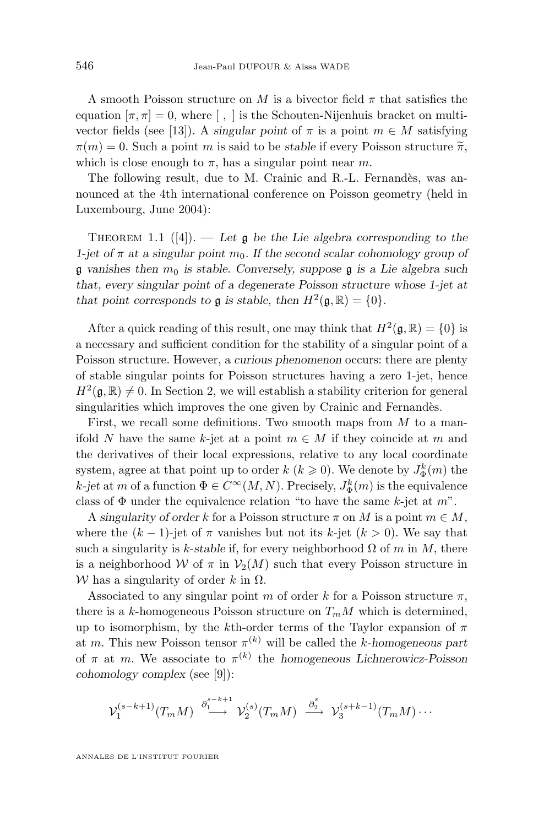A smooth Poisson structure on M is a bivector field  $\pi$  that satisfies the equation  $[\pi, \pi] = 0$ , where  $[ , ]$  is the Schouten-Nijenhuis bracket on multi-vector fields (see [\[13\]](#page-14-0)). A *singular point* of  $\pi$  is a point  $m \in M$  satisfying  $\pi(m) = 0$ . Such a point m is said to be *stable* if every Poisson structure  $\tilde{\pi}$ , which is close enough to  $\pi$ , has a singular point near m.

The following result, due to M. Crainic and R.-L. Fernandès, was announced at the 4th international conference on Poisson geometry (held in Luxembourg, June 2004):

THEOREM 1.1  $([4])$  $([4])$  $([4])$ . — Let  $\mathfrak g$  be the Lie algebra corresponding to the *1-jet of*  $\pi$  *at a singular point*  $m_0$ *. If the second scalar cohomology group of*  $\mathfrak g$  vanishes then  $m_0$  is stable. Conversely, suppose  $\mathfrak g$  is a Lie algebra such *that, every singular point of a degenerate Poisson structure whose 1-jet at that point corresponds to*  $\mathfrak g$  *is stable, then*  $H^2(\mathfrak g, \mathbb R) = \{0\}.$ 

After a quick reading of this result, one may think that  $H^2(\mathfrak{g}, \mathbb{R}) = \{0\}$  is a necessary and sufficient condition for the stability of a singular point of a Poisson structure. However, a *curious phenomenon* occurs: there are plenty of stable singular points for Poisson structures having a zero 1-jet, hence  $H^2(\mathfrak{g}, \mathbb{R}) \neq 0$ . In Section [2,](#page-5-0) we will establish a stability criterion for general singularities which improves the one given by Crainic and Fernandès.

First, we recall some definitions. Two smooth maps from  $M$  to a manifold N have the same k-jet at a point  $m \in M$  if they coincide at m and the derivatives of their local expressions, relative to any local coordinate system, agree at that point up to order  $k$   $(k \geq 0)$ . We denote by  $J_{\Phi}^{k}(m)$  the  $k$ -jet at m of a function  $\Phi \in C^{\infty}(M, N)$ . Precisely,  $J_{\Phi}^{k}(m)$  is the equivalence class of  $\Phi$  under the equivalence relation "to have the same k-jet at m".

A *singularity of order* k for a Poisson structure  $\pi$  on M is a point  $m \in M$ , where the  $(k-1)$ -jet of  $\pi$  vanishes but not its k-jet  $(k > 0)$ . We say that such a singularity is k-stable if, for every neighborhood  $\Omega$  of m in M, there is a neighborhood W of  $\pi$  in  $\mathcal{V}_2(M)$  such that every Poisson structure in W has a singularity of order k in  $\Omega$ .

Associated to any singular point m of order k for a Poisson structure  $\pi$ , there is a k-homogeneous Poisson structure on  $T_mM$  which is determined, up to isomorphism, by the kth-order terms of the Taylor expansion of  $\pi$ at m. This new Poisson tensor  $\pi^{(k)}$  will be called the k-homogeneous part of  $\pi$  at m. We associate to  $\pi^{(k)}$  the *homogeneous Lichnerowicz-Poisson cohomology complex* (see [\[9\]](#page-14-0)):

$$
\mathcal{V}_1^{(s-k+1)}(T_m M) \stackrel{\partial_1^{s-k+1}}{\longrightarrow} \mathcal{V}_2^{(s)}(T_m M) \stackrel{\partial_2^s}{\longrightarrow} \mathcal{V}_3^{(s+k-1)}(T_m M) \cdots
$$

ANNALES DE L'INSTITUT FOURIER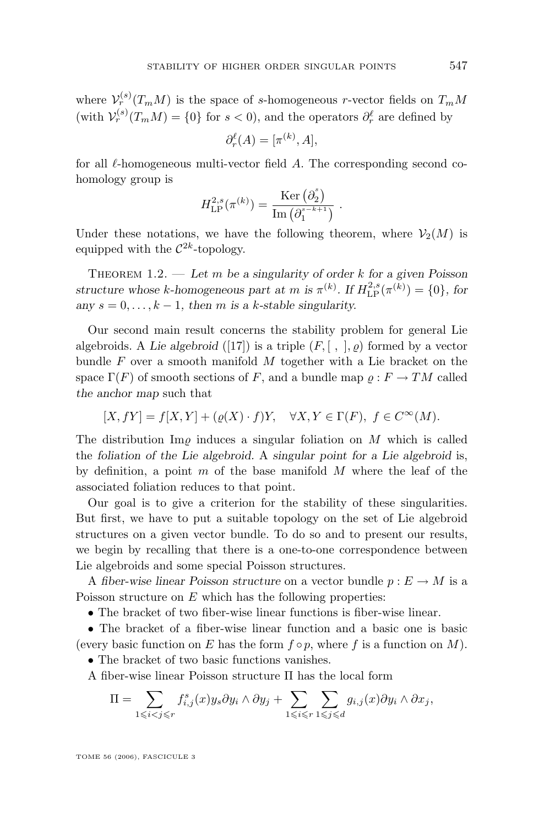<span id="page-3-0"></span>where  $\mathcal{V}_r^{(s)}(T_m M)$  is the space of s-homogeneous r-vector fields on  $T_m M$ (with  $\mathcal{V}_r^{(s)}(T_m M) = \{0\}$  for  $s < 0$ ), and the operators  $\partial_r^{\ell}$  are defined by

$$
\partial_r^{\ell}(A) = [\pi^{(k)}, A],
$$

for all  $\ell$ -homogeneous multi-vector field A. The corresponding second cohomology group is

$$
H^{2,s}_{\mathrm{LP}}(\pi^{(k)}) = \frac{\mathrm{Ker}\left(\partial_2^s\right)}{\mathrm{Im}\left(\partial_1^{s^{-k+1}}\right)}.
$$

Under these notations, we have the following theorem, where  $\mathcal{V}_2(M)$  is equipped with the  $\mathcal{C}^{2k}$ -topology.

THEOREM 1.2. — Let m be a singularity of order k for a given Poisson *structure whose k*-homogeneous part at *m* is  $\pi^{(k)}$ . If  $H_{\text{LP}}^{2,s}(\pi^{(k)}) = \{0\}$ , for any  $s = 0, \ldots, k - 1$ , then *m* is a k-stable singularity.

Our second main result concerns the stability problem for general Lie algebroids. A *Lie algebroid* ([\[17\]](#page-15-0)) is a triple  $(F, [ , ], \varrho)$  formed by a vector bundle  $F$  over a smooth manifold  $M$  together with a Lie bracket on the space  $\Gamma(F)$  of smooth sections of F, and a bundle map  $\rho: F \to TM$  called *the anchor map* such that

$$
[X, fY] = f[X, Y] + (\varrho(X) \cdot f)Y, \quad \forall X, Y \in \Gamma(F), \ f \in C^{\infty}(M).
$$

The distribution  $\text{Im}\rho$  induces a singular foliation on M which is called the *foliation of the Lie algebroid.* A *singular point for a Lie algebroid* is, by definition, a point  $m$  of the base manifold  $M$  where the leaf of the associated foliation reduces to that point.

Our goal is to give a criterion for the stability of these singularities. But first, we have to put a suitable topology on the set of Lie algebroid structures on a given vector bundle. To do so and to present our results, we begin by recalling that there is a one-to-one correspondence between Lie algebroids and some special Poisson structures.

A *fiber-wise linear Poisson structure* on a vector bundle  $p: E \to M$  is a Poisson structure on  $E$  which has the following properties:

• The bracket of two fiber-wise linear functions is fiber-wise linear.

• The bracket of a fiber-wise linear function and a basic one is basic (every basic function on E has the form  $f \circ p$ , where f is a function on M).

• The bracket of two basic functions vanishes.

A fiber-wise linear Poisson structure Π has the local form

$$
\Pi = \sum_{1 \leq i < j \leq r} f_{i,j}^s(x) y_s \partial y_i \wedge \partial y_j + \sum_{1 \leq i \leq r} \sum_{1 \leq j \leq d} g_{i,j}(x) \partial y_i \wedge \partial x_j,
$$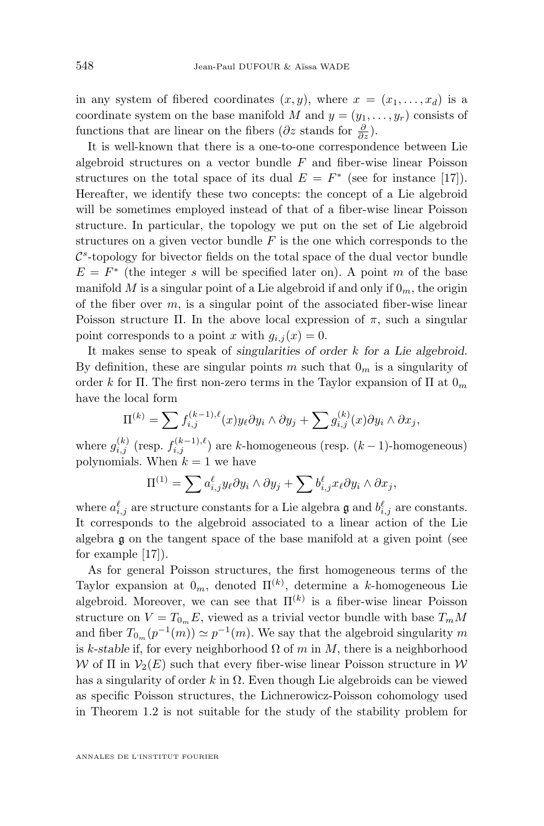in any system of fibered coordinates  $(x, y)$ , where  $x = (x_1, \ldots, x_d)$  is a coordinate system on the base manifold M and  $y = (y_1, \ldots, y_r)$  consists of functions that are linear on the fibers  $(\partial z \text{ stands for } \frac{\partial}{\partial z}).$ 

It is well-known that there is a one-to-one correspondence between Lie algebroid structures on a vector bundle  $F$  and fiber-wise linear Poisson structures on the total space of its dual  $E = F^*$  (see for instance [\[17\]](#page-15-0)). Hereafter, we identify these two concepts: the concept of a Lie algebroid will be sometimes employed instead of that of a fiber-wise linear Poisson structure. In particular, the topology we put on the set of Lie algebroid structures on a given vector bundle  $F$  is the one which corresponds to the  $\mathcal{C}^s$ -topology for bivector fields on the total space of the dual vector bundle  $E = F^*$  (the integer s will be specified later on). A point m of the base manifold M is a singular point of a Lie algebroid if and only if  $0<sub>m</sub>$ , the origin of the fiber over  $m$ , is a singular point of the associated fiber-wise linear Poisson structure Π. In the above local expression of  $\pi$ , such a singular point corresponds to a point x with  $g_{i,j}(x) = 0$ .

It makes sense to speak of *singularities of order* k *for a Lie algebroid*. By definition, these are singular points m such that  $0<sub>m</sub>$  is a singularity of order k for Π. The first non-zero terms in the Taylor expansion of  $\Pi$  at  $0_m$ have the local form

$$
\Pi^{(k)} = \sum f_{i,j}^{(k-1),\ell}(x)y_{\ell}\partial y_i \wedge \partial y_j + \sum g_{i,j}^{(k)}(x)\partial y_i \wedge \partial x_j,
$$

where  $g_{i,j}^{(k)}$  (resp.  $f_{i,j}^{(k-1),\ell}$ ) are k-homogeneous (resp.  $(k-1)$ -homogeneous) polynomials. When  $k = 1$  we have

$$
\Pi^{(1)} = \sum a_{i,j}^{\ell} y_{\ell} \partial y_i \wedge \partial y_j + \sum b_{i,j}^{\ell} x_{\ell} \partial y_i \wedge \partial x_j,
$$

where  $a_{i,j}^{\ell}$  are structure constants for a Lie algebra  $\mathfrak g$  and  $b_{i,j}^{\ell}$  are constants. It corresponds to the algebroid associated to a linear action of the Lie algebra g on the tangent space of the base manifold at a given point (see for example [\[17\]](#page-15-0)).

As for general Poisson structures, the first homogeneous terms of the Taylor expansion at  $0_m$ , denoted  $\Pi^{(k)}$ , determine a k-homogeneous Lie algebroid. Moreover, we can see that  $\Pi^{(k)}$  is a fiber-wise linear Poisson structure on  $V = T_{0m}E$ , viewed as a trivial vector bundle with base  $T_mM$ and fiber  $T_{0_m}(p^{-1}(m)) \simeq p^{-1}(m)$ . We say that the algebroid singularity m is k-stable if, for every neighborhood  $\Omega$  of m in M, there is a neighborhood W of  $\Pi$  in  $\mathcal{V}_2(E)$  such that every fiber-wise linear Poisson structure in W has a singularity of order k in  $\Omega$ . Even though Lie algebroids can be viewed as specific Poisson structures, the Lichnerowicz-Poisson cohomology used in Theorem [1.2](#page-3-0) is not suitable for the study of the stability problem for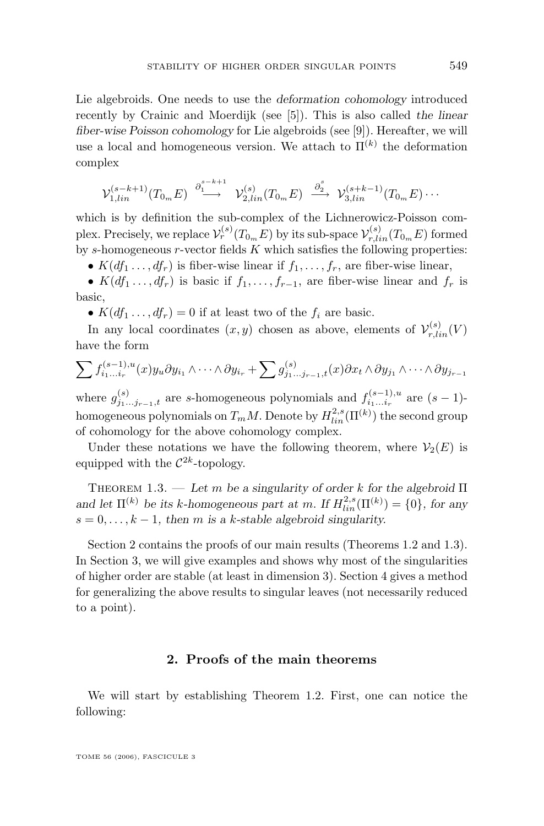<span id="page-5-0"></span>Lie algebroids. One needs to use the *deformation cohomology* introduced recently by Crainic and Moerdijk (see [\[5\]](#page-14-0)). This is also called *the linear fiber-wise Poisson cohomology* for Lie algebroids (see [\[9\]](#page-14-0)). Hereafter, we will use a local and homogeneous version. We attach to  $\Pi^{(k)}$  the deformation complex

$$
\mathcal{V}_{1,lin}^{(s-k+1)}(T_{0m}E) \stackrel{\partial_1^{s-k+1}}{\longrightarrow} \mathcal{V}_{2,lin}^{(s)}(T_{0m}E) \stackrel{\partial_2^{s}}{\longrightarrow} \mathcal{V}_{3,lin}^{(s+k-1)}(T_{0m}E) \cdots
$$

which is by definition the sub-complex of the Lichnerowicz-Poisson complex. Precisely, we replace  $\mathcal{V}_r^{(s)}(T_{0_m}E)$  by its sub-space  $\mathcal{V}_{r,lin}^{(s)}(T_{0_m}E)$  formed by s-homogeneous  $r$ -vector fields  $K$  which satisfies the following properties:

•  $K(df_1, \ldots, df_r)$  is fiber-wise linear if  $f_1, \ldots, f_r$ , are fiber-wise linear,

•  $K(df_1 \ldots, df_r)$  is basic if  $f_1, \ldots, f_{r-1}$ , are fiber-wise linear and  $f_r$  is basic,

•  $K(df_1 \ldots, df_r) = 0$  if at least two of the  $f_i$  are basic.

In any local coordinates  $(x, y)$  chosen as above, elements of  $\mathcal{V}_{r, lin}^{(s)}(V)$ have the form

$$
\sum f_{i_1...i_r}^{(s-1),u}(x)y_u \partial y_{i_1} \wedge \cdots \wedge \partial y_{i_r} + \sum g_{j_1...j_{r-1},t}^{(s)}(x) \partial x_t \wedge \partial y_{j_1} \wedge \cdots \wedge \partial y_{j_{r-1}}
$$

where  $g_{j_1...j_{r-1},t}^{(s)}$  are s-homogeneous polynomials and  $f_{i_1...i_r}^{(s-1),u}$  $i_1...i_r$ <sup>u</sup> are  $(s-1)$ homogeneous polynomials on  $T_m M$ . Denote by  $H_{lin}^{2,s}(\Pi^{(k)})$  the second group of cohomology for the above cohomology complex.

Under these notations we have the following theorem, where  $\mathcal{V}_2(E)$  is equipped with the  $\mathcal{C}^{2k}$ -topology.

Theorem 1.3. — *Let* m *be a singularity of order* k *for the algebroid* Π and let  $\Pi^{(k)}$  be its k-homogeneous part at m. If  $H_{lin}^{2,s}(\Pi^{(k)}) = \{0\}$ , for any  $s = 0, \ldots, k - 1$ , then *m* is a *k*-stable algebroid singularity.

Section 2 contains the proofs of our main results (Theorems [1.2](#page-3-0) and 1.3). In Section [3,](#page-8-0) we will give examples and shows why most of the singularities of higher order are stable (at least in dimension 3). Section [4](#page-12-0) gives a method for generalizing the above results to singular leaves (not necessarily reduced to a point).

#### **2. Proofs of the main theorems**

We will start by establishing Theorem [1.2.](#page-3-0) First, one can notice the following: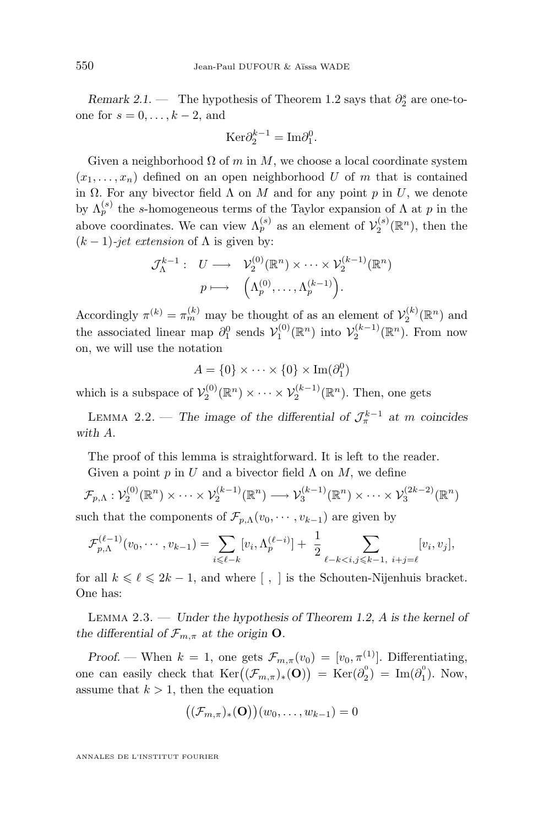<span id="page-6-0"></span>*Remark 2.1.* — The hypothesis of Theorem [1.2](#page-3-0) says that  $\partial_2^s$  are one-toone for  $s = 0, \ldots, k-2$ , and

$$
\mathrm{Ker}\partial_{2}^{k-1}=\mathrm{Im}\partial_{1}^{0}.
$$

Given a neighborhood  $\Omega$  of m in M, we choose a local coordinate system  $(x_1, \ldots, x_n)$  defined on an open neighborhood U of m that is contained in  $\Omega$ . For any bivector field  $\Lambda$  on M and for any point p in U, we denote by  $\Lambda_p^{(s)}$  the s-homogeneous terms of the Taylor expansion of  $\Lambda$  at p in the above coordinates. We can view  $\Lambda_p^{(s)}$  as an element of  $\mathcal{V}_2^{(s)}(\mathbb{R}^n)$ , then the  $(k-1)$ *-jet extension* of  $\Lambda$  is given by:

$$
\mathcal{J}_{\Lambda}^{k-1}: U \longrightarrow \mathcal{V}_{2}^{(0)}(\mathbb{R}^{n}) \times \cdots \times \mathcal{V}_{2}^{(k-1)}(\mathbb{R}^{n})
$$

$$
p \longmapsto \left(\Lambda_{p}^{(0)}, \ldots, \Lambda_{p}^{(k-1)}\right).
$$

Accordingly  $\pi^{(k)} = \pi_m^{(k)}$  may be thought of as an element of  $\mathcal{V}_2^{(k)}(\mathbb{R}^n)$  and the associated linear map  $\partial_1^0$  sends  $\mathcal{V}_1^{(0)}(\mathbb{R}^n)$  into  $\mathcal{V}_2^{(k-1)}(\mathbb{R}^n)$ . From now on, we will use the notation

$$
A = \{0\} \times \cdots \times \{0\} \times \operatorname{Im}(\partial_1^0)
$$

which is a subspace of  $\mathcal{V}_2^{(0)}(\mathbb{R}^n) \times \cdots \times \mathcal{V}_2^{(k-1)}(\mathbb{R}^n)$ . Then, one gets

LEMMA 2.2. — The image of the differential of  $\mathcal{J}_{\pi}^{k-1}$  at m coincides *with* A.

The proof of this lemma is straightforward. It is left to the reader.

Given a point p in U and a bivector field  $\Lambda$  on M, we define

$$
\mathcal{F}_{p,\Lambda}: \mathcal{V}_2^{(0)}(\mathbb{R}^n) \times \cdots \times \mathcal{V}_2^{(k-1)}(\mathbb{R}^n) \longrightarrow \mathcal{V}_3^{(k-1)}(\mathbb{R}^n) \times \cdots \times \mathcal{V}_3^{(2k-2)}(\mathbb{R}^n)
$$

such that the components of  $\mathcal{F}_{p,\Lambda}(v_0,\cdots,v_{k-1})$  are given by

$$
\mathcal{F}_{p,\Lambda}^{(\ell-1)}(v_0,\dots,v_{k-1}) = \sum_{i\leq \ell-k} [v_i,\Lambda_p^{(\ell-i)}] + \frac{1}{2} \sum_{\ell-k
$$

for all  $k \leq \ell \leq 2k - 1$ , and where [, ] is the Schouten-Nijenhuis bracket. One has:

Lemma 2.3. — *Under the hypothesis of Theorem [1.2,](#page-3-0)* A *is the kernel of the differential of*  $\mathcal{F}_{m,\pi}$  *at the origin* **O**.

*Proof.* — When  $k = 1$ , one gets  $\mathcal{F}_{m,\pi}(v_0) = [v_0, \pi^{(1)}]$ . Differentiating, one can easily check that  $\text{Ker}((\mathcal{F}_{m,\pi})_*(\mathbf{O})) = \text{Ker}(\partial_2^0) = \text{Im}(\partial_1^0)$ . Now, assume that  $k > 1$ , then the equation

$$
((\mathcal{F}_{m,\pi})_*(\mathbf{O}))(w_0,\ldots,w_{k-1})=0
$$

ANNALES DE L'INSTITUT FOURIER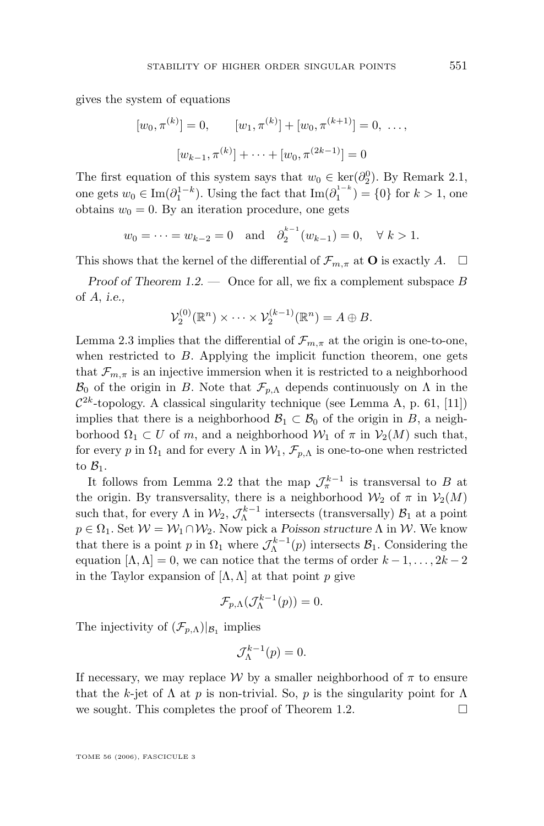gives the system of equations

$$
[w_0, \pi^{(k)}] = 0, \qquad [w_1, \pi^{(k)}] + [w_0, \pi^{(k+1)}] = 0, \dots,
$$
  

$$
[w_{k-1}, \pi^{(k)}] + \dots + [w_0, \pi^{(2k-1)}] = 0
$$

The first equation of this system says that  $w_0 \in \text{ker}(\partial_2^0)$ . By Remark [2.1,](#page-5-0) one gets  $w_0 \in \text{Im}(\partial_1^{1-k})$ . Using the fact that  $\text{Im}(\partial_1^{1-k}) = \{0\}$  for  $k > 1$ , one obtains  $w_0 = 0$ . By an iteration procedure, one gets

$$
w_0 = \dots = w_{k-2} = 0
$$
 and  $\partial_2^{k-1}(w_{k-1}) = 0$ ,  $\forall k > 1$ .

This shows that the kernel of the differential of  $\mathcal{F}_{m,\pi}$  at **O** is exactly A.  $\Box$ 

*Proof of Theorem [1.2.](#page-3-0)* — Once for all, we fix a complement subspace B of A, *i.e.,*

$$
\mathcal{V}_2^{(0)}(\mathbb{R}^n) \times \cdots \times \mathcal{V}_2^{(k-1)}(\mathbb{R}^n) = A \oplus B.
$$

Lemma [2.3](#page-6-0) implies that the differential of  $\mathcal{F}_{m,\pi}$  at the origin is one-to-one, when restricted to  $B$ . Applying the implicit function theorem, one gets that  $\mathcal{F}_{m,\pi}$  is an injective immersion when it is restricted to a neighborhood  $\mathcal{B}_0$  of the origin in B. Note that  $\mathcal{F}_{p,\Lambda}$  depends continuously on  $\Lambda$  in the  $\mathcal{C}^{2k}$ -topology. A classical singularity technique (see Lemma A, p. 61, [\[11\]](#page-14-0)) implies that there is a neighborhood  $\mathcal{B}_1 \subset \mathcal{B}_0$  of the origin in B, a neighborhood  $\Omega_1 \subset U$  of m, and a neighborhood  $\mathcal{W}_1$  of  $\pi$  in  $\mathcal{V}_2(M)$  such that, for every p in  $\Omega_1$  and for every  $\Lambda$  in  $\mathcal{W}_1, \mathcal{F}_{p,\Lambda}$  is one-to-one when restricted to  $\mathcal{B}_1$ .

It follows from Lemma [2.2](#page-6-0) that the map  $\mathcal{J}_{\pi}^{k-1}$  is transversal to B at the origin. By transversality, there is a neighborhood  $\mathcal{W}_2$  of  $\pi$  in  $\mathcal{V}_2(M)$ such that, for every  $\Lambda$  in  $\mathcal{W}_2$ ,  $\mathcal{J}_{\Lambda}^{k-1}$  intersects (transversally)  $\mathcal{B}_1$  at a point  $p \in \Omega_1$ . Set  $\mathcal{W} = \mathcal{W}_1 \cap \mathcal{W}_2$ . Now pick a *Poisson structure*  $\Lambda$  in  $\mathcal{W}$ . We know that there is a point p in  $\Omega_1$  where  $\mathcal{J}_{\Lambda}^{k-1}(p)$  intersects  $\mathcal{B}_1$ . Considering the equation  $[\Lambda, \Lambda] = 0$ , we can notice that the terms of order  $k - 1, \ldots, 2k - 2$ in the Taylor expansion of  $[\Lambda, \Lambda]$  at that point p give

$$
\mathcal{F}_{p,\Lambda}(\mathcal{J}_{\Lambda}^{k-1}(p))=0.
$$

The injectivity of  $(\mathcal{F}_{p,\Lambda})|_{\mathcal{B}_1}$  implies

$$
\mathcal{J}_{\Lambda}^{k-1}(p) = 0.
$$

If necessary, we may replace W by a smaller neighborhood of  $\pi$  to ensure that the k-jet of  $\Lambda$  at p is non-trivial. So, p is the singularity point for  $\Lambda$ we sought. This completes the proof of Theorem [1.2.](#page-3-0)  $\Box$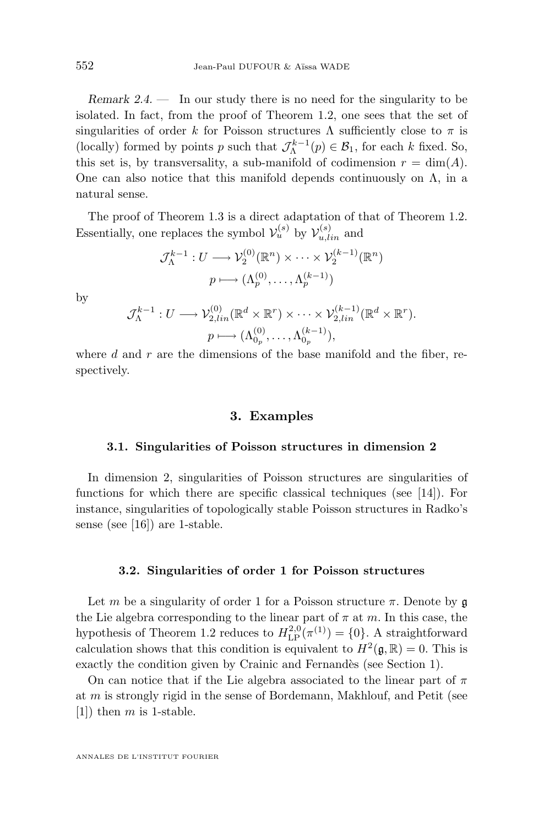<span id="page-8-0"></span>*Remark 2.4.* — In our study there is no need for the singularity to be isolated. In fact, from the proof of Theorem [1.2,](#page-3-0) one sees that the set of singularities of order k for Poisson structures  $\Lambda$  sufficiently close to  $\pi$  is (locally) formed by points p such that  $\mathcal{J}_{\Lambda}^{k-1}(p) \in \mathcal{B}_1$ , for each k fixed. So, this set is, by transversality, a sub-manifold of codimension  $r = \dim(A)$ . One can also notice that this manifold depends continuously on  $\Lambda$ , in a natural sense.

The proof of Theorem [1.3](#page-5-0) is a direct adaptation of that of Theorem [1.2.](#page-3-0) Essentially, one replaces the symbol  $\mathcal{V}_u^{(s)}$  by  $\mathcal{V}_{u,lin}^{(s)}$  and

$$
\mathcal{J}_{\Lambda}^{k-1}: U \longrightarrow \mathcal{V}_2^{(0)}(\mathbb{R}^n) \times \cdots \times \mathcal{V}_2^{(k-1)}(\mathbb{R}^n)
$$

$$
p \longmapsto (\Lambda_p^{(0)}, \dots, \Lambda_p^{(k-1)})
$$

by

$$
\mathcal{J}_{\Lambda}^{k-1}: U \longrightarrow \mathcal{V}_{2,lin}^{(0)}(\mathbb{R}^d \times \mathbb{R}^r) \times \cdots \times \mathcal{V}_{2,lin}^{(k-1)}(\mathbb{R}^d \times \mathbb{R}^r).
$$
  

$$
p \longmapsto (\Lambda_{0_p}^{(0)}, \dots, \Lambda_{0_p}^{(k-1)}),
$$

where  $d$  and  $r$  are the dimensions of the base manifold and the fiber, respectively.

#### **3. Examples**

#### **3.1. Singularities of Poisson structures in dimension 2**

In dimension 2, singularities of Poisson structures are singularities of functions for which there are specific classical techniques (see [\[14\]](#page-14-0)). For instance, singularities of topologically stable Poisson structures in Radko's sense (see [\[16\]](#page-14-0)) are 1-stable.

#### **3.2. Singularities of order 1 for Poisson structures**

Let m be a singularity of order 1 for a Poisson structure  $\pi$ . Denote by  $\mathfrak g$ the Lie algebra corresponding to the linear part of  $\pi$  at m. In this case, the hypothesis of Theorem [1.2](#page-3-0) reduces to  $H^{2,0}_{\text{LP}}(\pi^{(1)}) = \{0\}$ . A straightforward calculation shows that this condition is equivalent to  $H^2(\mathfrak{g}, \mathbb{R}) = 0$ . This is exactly the condition given by Crainic and Fernandès (see Section 1).

On can notice that if the Lie algebra associated to the linear part of  $\pi$ at m is strongly rigid in the sense of Bordemann, Makhlouf, and Petit (see  $[1]$ ) then m is 1-stable.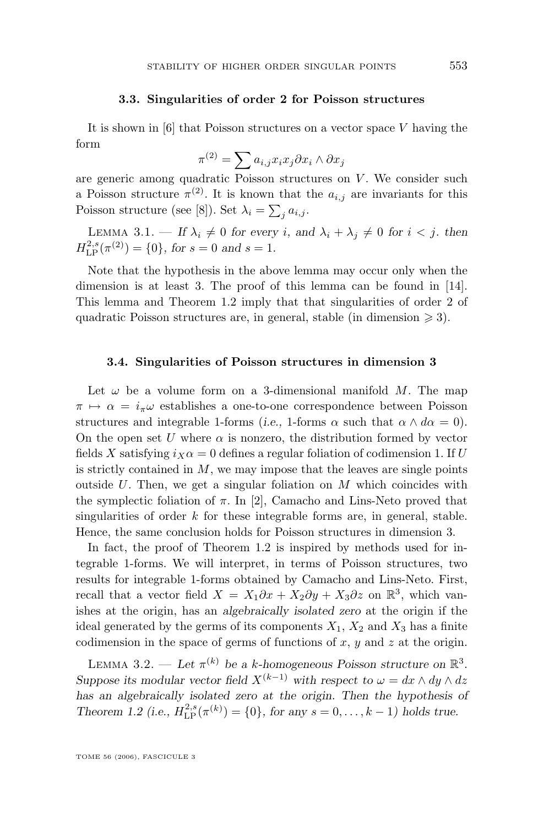#### **3.3. Singularities of order 2 for Poisson structures**

<span id="page-9-0"></span>It is shown in  $[6]$  that Poisson structures on a vector space V having the form

$$
\pi^{(2)} = \sum a_{i,j} x_i x_j \partial x_i \wedge \partial x_j
$$

are generic among quadratic Poisson structures on  $V$ . We consider such a Poisson structure  $\pi^{(2)}$ . It is known that the  $a_{i,j}$  are invariants for this Poisson structure (see [\[8\]](#page-14-0)). Set  $\lambda_i = \sum_j a_{i,j}$ .

LEMMA 3.1. — If  $\lambda_i \neq 0$  for every *i*, and  $\lambda_i + \lambda_j \neq 0$  for  $i < j$ , then  $H^{2,s}_{\text{LP}}(\pi^{(2)}) = \{0\}, \text{ for } s = 0 \text{ and } s = 1.$ 

Note that the hypothesis in the above lemma may occur only when the dimension is at least 3. The proof of this lemma can be found in [\[14\]](#page-14-0). This lemma and Theorem [1.2](#page-3-0) imply that that singularities of order 2 of quadratic Poisson structures are, in general, stable (in dimension  $\geq 3$ ).

#### **3.4. Singularities of Poisson structures in dimension 3**

Let  $\omega$  be a volume form on a 3-dimensional manifold M. The map  $\pi \mapsto \alpha = i_{\pi}\omega$  establishes a one-to-one correspondence between Poisson structures and integrable 1-forms (*i.e.*, 1-forms  $\alpha$  such that  $\alpha \wedge d\alpha = 0$ ). On the open set U where  $\alpha$  is nonzero, the distribution formed by vector fields X satisfying  $i_X \alpha = 0$  defines a regular foliation of codimension 1. If U is strictly contained in  $M$ , we may impose that the leaves are single points outside U. Then, we get a singular foliation on  $M$  which coincides with the symplectic foliation of  $\pi$ . In [\[2\]](#page-14-0), Camacho and Lins-Neto proved that singularities of order  $k$  for these integrable forms are, in general, stable. Hence, the same conclusion holds for Poisson structures in dimension 3.

In fact, the proof of Theorem [1.2](#page-3-0) is inspired by methods used for integrable 1-forms. We will interpret, in terms of Poisson structures, two results for integrable 1-forms obtained by Camacho and Lins-Neto. First, recall that a vector field  $X = X_1 \partial x + X_2 \partial y + X_3 \partial z$  on  $\mathbb{R}^3$ , which vanishes at the origin, has an *algebraically isolated zero* at the origin if the ideal generated by the germs of its components  $X_1, X_2$  and  $X_3$  has a finite codimension in the space of germs of functions of  $x, y$  and  $z$  at the origin.

LEMMA 3.2. — Let  $\pi^{(k)}$  be a k-homogeneous Poisson structure on  $\mathbb{R}^3$ . *Suppose its modular vector field*  $X^{(k-1)}$  *with respect to*  $\omega = dx \wedge dy \wedge dz$ *has an algebraically isolated zero at the origin. Then the hypothesis of Theorem [1.2](#page-3-0)* (i.e.,  $H_{\text{LP}}^{2,s}(\pi^{(k)}) = \{0\}$ , for any  $s = 0, \ldots, k - 1$ ) holds true.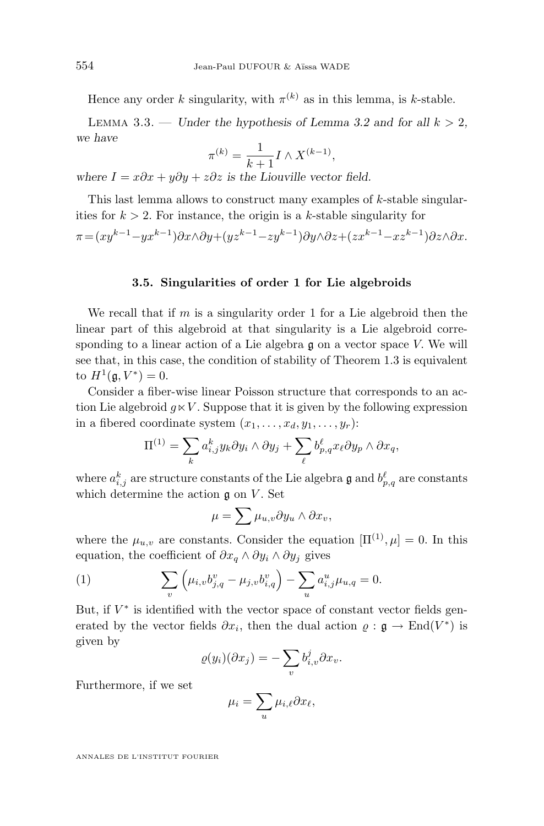Hence any order k singularity, with  $\pi^{(k)}$  as in this lemma, is k-stable.

LEMMA 3.3. — *Under the hypothesis of Lemma [3.2](#page-9-0) and for all*  $k > 2$ , *we have*

$$
\pi^{(k)} = \frac{1}{k+1} I \wedge X^{(k-1)},
$$

*where*  $I = x\partial x + y\partial y + z\partial z$  *is the Liouville vector field.* 

This last lemma allows to construct many examples of k-stable singularities for  $k > 2$ . For instance, the origin is a k-stable singularity for

$$
\pi = (xy^{k-1} - yx^{k-1})\partial x \wedge \partial y + (yz^{k-1} - zy^{k-1})\partial y \wedge \partial z + (zx^{k-1} - xz^{k-1})\partial z \wedge \partial x.
$$

#### **3.5. Singularities of order 1 for Lie algebroids**

We recall that if  $m$  is a singularity order 1 for a Lie algebroid then the linear part of this algebroid at that singularity is a Lie algebroid corresponding to a linear action of a Lie algebra g on a vector space V. We will see that, in this case, the condition of stability of Theorem [1.3](#page-5-0) is equivalent to  $H^1(\mathfrak{g}, V^*) = 0$ .

Consider a fiber-wise linear Poisson structure that corresponds to an action Lie algebroid  $q \lt V$ . Suppose that it is given by the following expression in a fibered coordinate system  $(x_1, \ldots, x_d, y_1, \ldots, y_r)$ :

$$
\Pi^{(1)} = \sum_{k} a_{i,j}^{k} y_{k} \partial y_{i} \wedge \partial y_{j} + \sum_{\ell} b_{p,q}^{\ell} x_{\ell} \partial y_{p} \wedge \partial x_{q},
$$

where  $a_{i,j}^k$  are structure constants of the Lie algebra  $\mathfrak g$  and  $b_{p,q}^\ell$  are constants which determine the action  $\mathfrak g$  on  $V$ . Set

$$
\mu = \sum \mu_{u,v} \partial y_u \wedge \partial x_v,
$$

where the  $\mu_{u,v}$  are constants. Consider the equation  $[\Pi^{(1)}, \mu] = 0$ . In this equation, the coefficient of  $\partial x_q \wedge \partial y_i \wedge \partial y_j$  gives

(1) 
$$
\sum_{v} \left( \mu_{i,v} b_{j,q}^{v} - \mu_{j,v} b_{i,q}^{v} \right) - \sum_{u} a_{i,j}^{u} \mu_{u,q} = 0.
$$

But, if  $V^*$  is identified with the vector space of constant vector fields generated by the vector fields  $\partial x_i$ , then the dual action  $\varrho : \mathfrak{g} \to \text{End}(V^*)$  is given by

$$
\varrho(y_i)(\partial x_j) = -\sum_v b_{i,v}^j \partial x_v.
$$

Furthermore, if we set

$$
\mu_i = \sum_u \mu_{i,\ell} \partial x_\ell,
$$

ANNALES DE L'INSTITUT FOURIER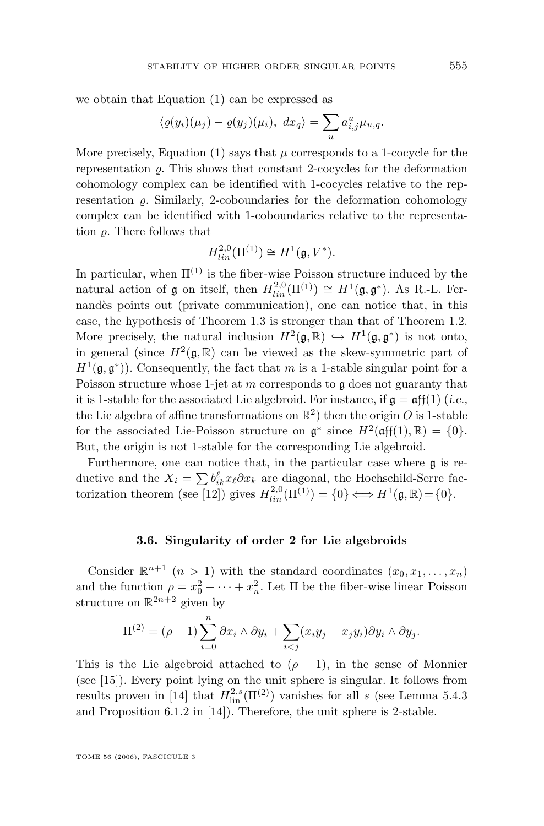we obtain that Equation (1) can be expressed as

$$
\langle \varrho(y_i)(\mu_j) - \varrho(y_j)(\mu_i), \, dx_q \rangle = \sum_u a_{i,j}^u \mu_{u,q}.
$$

More precisely, Equation (1) says that  $\mu$  corresponds to a 1-cocycle for the representation  $\rho$ . This shows that constant 2-cocycles for the deformation cohomology complex can be identified with 1-cocycles relative to the representation  $\rho$ . Similarly, 2-coboundaries for the deformation cohomology complex can be identified with 1-coboundaries relative to the representation  $\rho$ . There follows that

$$
H_{lin}^{2,0}(\Pi^{(1)}) \cong H^1(\mathfrak{g}, V^*).
$$

In particular, when  $\Pi^{(1)}$  is the fiber-wise Poisson structure induced by the natural action of  $\mathfrak g$  on itself, then  $H_{lin}^{2,0}(\Pi^{(1)}) \cong H^1(\mathfrak g, \mathfrak g^*)$ . As R.-L. Fernandès points out (private communication), one can notice that, in this case, the hypothesis of Theorem [1.3](#page-5-0) is stronger than that of Theorem [1.2.](#page-3-0) More precisely, the natural inclusion  $H^2(\mathfrak{g}, \mathbb{R}) \hookrightarrow H^1(\mathfrak{g}, \mathfrak{g}^*)$  is not onto, in general (since  $H^2(\mathfrak{g}, \mathbb{R})$  can be viewed as the skew-symmetric part of  $H^1(\mathfrak{g}, \mathfrak{g}^*)$ . Consequently, the fact that m is a 1-stable singular point for a Poisson structure whose 1-jet at  $m$  corresponds to  $\mathfrak g$  does not guaranty that it is 1-stable for the associated Lie algebroid. For instance, if  $\mathfrak{g} = \mathfrak{aff}(1)$  (*i.e.*, the Lie algebra of affine transformations on  $\mathbb{R}^2$ ) then the origin O is 1-stable for the associated Lie-Poisson structure on  $\mathfrak{g}^*$  since  $H^2(\mathfrak{aff}(1), \mathbb{R}) = \{0\}.$ But, the origin is not 1-stable for the corresponding Lie algebroid.

Furthermore, one can notice that, in the particular case where g is reductive and the  $X_i = \sum b_{ik}^{\ell} x_{\ell} \partial x_k$  are diagonal, the Hochschild-Serre fac-torization theorem (see [\[12\]](#page-14-0)) gives  $H_{lin}^{2,0}(\Pi^{(1)}) = \{0\} \Longleftrightarrow H^1(\mathfrak{g}, \mathbb{R}) = \{0\}.$ 

#### **3.6. Singularity of order 2 for Lie algebroids**

Consider  $\mathbb{R}^{n+1}$   $(n > 1)$  with the standard coordinates  $(x_0, x_1, \ldots, x_n)$ and the function  $\rho = x_0^2 + \cdots + x_n^2$ . Let  $\Pi$  be the fiber-wise linear Poisson structure on  $\mathbb{R}^{2n+2}$  given by

$$
\Pi^{(2)} = (\rho - 1) \sum_{i=0}^{n} \partial x_i \wedge \partial y_i + \sum_{i < j} (x_i y_j - x_j y_i) \partial y_i \wedge \partial y_j.
$$

This is the Lie algebroid attached to  $(\rho - 1)$ , in the sense of Monnier (see [\[15\]](#page-14-0)). Every point lying on the unit sphere is singular. It follows from results proven in [\[14\]](#page-14-0) that  $H_{\text{lin}}^{2,s}(\Pi^{(2)})$  vanishes for all s (see Lemma 5.4.3) and Proposition 6.1.2 in [\[14\]](#page-14-0)). Therefore, the unit sphere is 2-stable.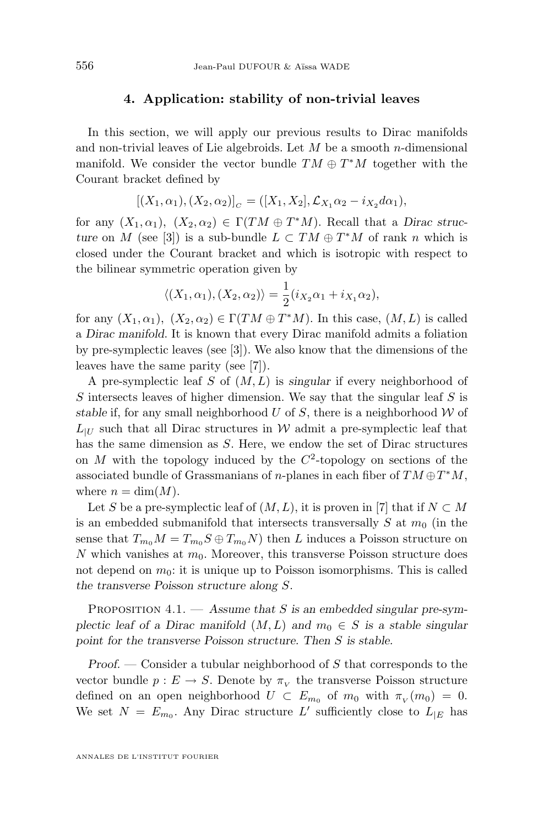#### **4. Application: stability of non-trivial leaves**

<span id="page-12-0"></span>In this section, we will apply our previous results to Dirac manifolds and non-trivial leaves of Lie algebroids. Let  $M$  be a smooth n-dimensional manifold. We consider the vector bundle  $TM \oplus T^*M$  together with the Courant bracket defined by

$$
[(X_1,\alpha_1),(X_2,\alpha_2)]_C = ([X_1,X_2],\mathcal{L}_{X_1}\alpha_2 - i_{X_2}d\alpha_1),
$$

for any  $(X_1, \alpha_1)$ ,  $(X_2, \alpha_2) \in \Gamma(TM \oplus T^*M)$ . Recall that a *Dirac structure* on M (see [\[3\]](#page-14-0)) is a sub-bundle  $L \subset TM \oplus T^*M$  of rank n which is closed under the Courant bracket and which is isotropic with respect to the bilinear symmetric operation given by

$$
\langle (X_1, \alpha_1), (X_2, \alpha_2) \rangle = \frac{1}{2} (i_{X_2} \alpha_1 + i_{X_1} \alpha_2),
$$

for any  $(X_1, \alpha_1)$ ,  $(X_2, \alpha_2) \in \Gamma(TM \oplus T^*M)$ . In this case,  $(M, L)$  is called a *Dirac manifold*. It is known that every Dirac manifold admits a foliation by pre-symplectic leaves (see [\[3\]](#page-14-0)). We also know that the dimensions of the leaves have the same parity (see [\[7\]](#page-14-0)).

A pre-symplectic leaf S of (M, L) is *singular* if every neighborhood of S intersects leaves of higher dimension. We say that the singular leaf S is *stable* if, for any small neighborhood  $U$  of  $S$ , there is a neighborhood  $W$  of  $L_{\text{U}}$  such that all Dirac structures in W admit a pre-symplectic leaf that has the same dimension as S. Here, we endow the set of Dirac structures on  $M$  with the topology induced by the  $C^2$ -topology on sections of the associated bundle of Grassmanians of n-planes in each fiber of  $TM \oplus T^*M$ , where  $n = \dim(M)$ .

Let S be a pre-symplectic leaf of  $(M, L)$ , it is proven in [\[7\]](#page-14-0) that if  $N \subset M$ is an embedded submanifold that intersects transversally  $S$  at  $m_0$  (in the sense that  $T_{m_0}M = T_{m_0}S \oplus T_{m_0}N$  then L induces a Poisson structure on N which vanishes at  $m_0$ . Moreover, this transverse Poisson structure does not depend on  $m_0$ : it is unique up to Poisson isomorphisms. This is called *the transverse Poisson structure along* S.

Proposition 4.1. — *Assume that* S *is an embedded singular pre-symplectic leaf of a Dirac manifold*  $(M, L)$  *and*  $m_0 \in S$  *is a stable singular point for the transverse Poisson structure. Then* S *is stable.*

*Proof. —* Consider a tubular neighborhood of S that corresponds to the vector bundle  $p: E \to S$ . Denote by  $\pi_{\overline{V}}$  the transverse Poisson structure defined on an open neighborhood  $U \subset E_{m_0}$  of  $m_0$  with  $\pi_V(m_0) = 0$ . We set  $N = E_{m_0}$ . Any Dirac structure L' sufficiently close to  $L_{|E|}$  has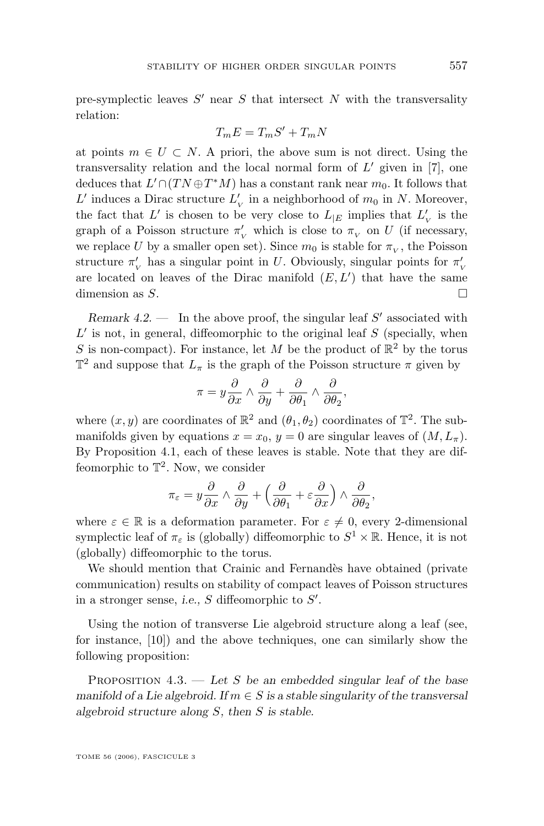pre-symplectic leaves  $S'$  near  $S$  that intersect  $N$  with the transversality relation:

$$
T_m E = T_m S' + T_m N
$$

at points  $m \in U \subset N$ . A priori, the above sum is not direct. Using the transversality relation and the local normal form of  $L'$  given in [\[7\]](#page-14-0), one deduces that  $L' \cap (TN \oplus T^*M)$  has a constant rank near  $m_0$ . It follows that L' induces a Dirac structure  $L'_{\rm v}$  in a neighborhood of  $m_0$  in N. Moreover, the fact that  $L'$  is chosen to be very close to  $L_{|E}$  implies that  $L'_{\nu}$  is the graph of a Poisson structure  $\pi'_v$  which is close to  $\pi_v$  on U (if necessary, we replace U by a smaller open set). Since  $m_0$  is stable for  $\pi_V$ , the Poisson structure  $\pi'_{\nu}$  has a singular point in U. Obviously, singular points for  $\pi'_{\nu}$ are located on leaves of the Dirac manifold  $(E, L')$  that have the same dimension as  $S$ .

*Remark 4.2.* — In the above proof, the singular leaf S' associated with  $L'$  is not, in general, diffeomorphic to the original leaf  $S$  (specially, when S is non-compact). For instance, let M be the product of  $\mathbb{R}^2$  by the torus  $\mathbb{T}^2$  and suppose that  $L_{\pi}$  is the graph of the Poisson structure  $\pi$  given by

$$
\pi = y \frac{\partial}{\partial x} \wedge \frac{\partial}{\partial y} + \frac{\partial}{\partial \theta_1} \wedge \frac{\partial}{\partial \theta_2},
$$

where  $(x, y)$  are coordinates of  $\mathbb{R}^2$  and  $(\theta_1, \theta_2)$  coordinates of  $\mathbb{T}^2$ . The submanifolds given by equations  $x = x_0$ ,  $y = 0$  are singular leaves of  $(M, L_\pi)$ . By Proposition 4.1, each of these leaves is stable. Note that they are diffeomorphic to  $\mathbb{T}^2$ . Now, we consider

$$
\pi_{\varepsilon} = y \frac{\partial}{\partial x} \wedge \frac{\partial}{\partial y} + \left( \frac{\partial}{\partial \theta_1} + \varepsilon \frac{\partial}{\partial x} \right) \wedge \frac{\partial}{\partial \theta_2},
$$

where  $\varepsilon \in \mathbb{R}$  is a deformation parameter. For  $\varepsilon \neq 0$ , every 2-dimensional symplectic leaf of  $\pi_{\varepsilon}$  is (globally) diffeomorphic to  $S^1 \times \mathbb{R}$ . Hence, it is not (globally) diffeomorphic to the torus.

We should mention that Crainic and Fernandès have obtained (private communication) results on stability of compact leaves of Poisson structures in a stronger sense, *i.e.*,  $S$  diffeomorphic to  $S'$ .

Using the notion of transverse Lie algebroid structure along a leaf (see, for instance, [\[10\]](#page-14-0)) and the above techniques, one can similarly show the following proposition:

Proposition 4.3. — *Let* S *be an embedded singular leaf of the base manifold of a Lie algebroid. If*  $m \in S$  *is a stable singularity of the transversal algebroid structure along* S*, then* S *is stable.*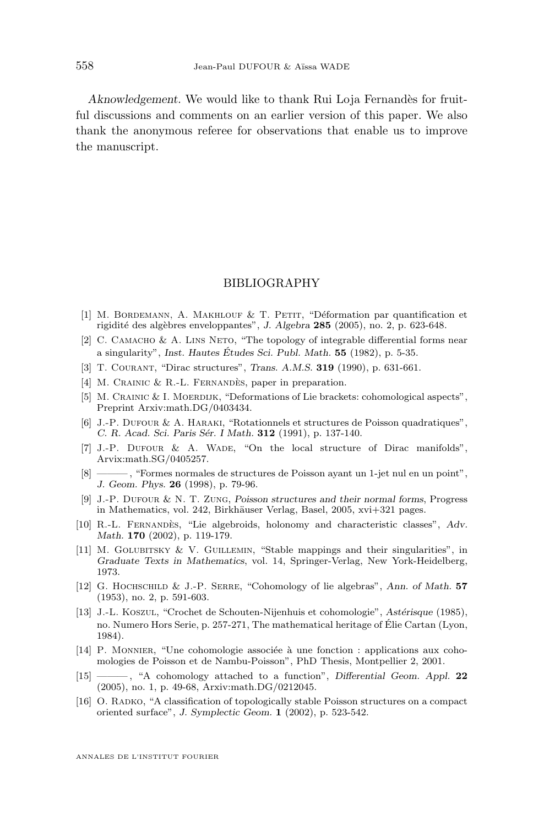<span id="page-14-0"></span>*Aknowledgement.* We would like to thank Rui Loja Fernandès for fruitful discussions and comments on an earlier version of this paper. We also thank the anonymous referee for observations that enable us to improve the manuscript.

#### BIBLIOGRAPHY

- [1] M. BORDEMANN, A. MAKHLOUF & T. PETIT, "Déformation par quantification et rigidité des algèbres enveloppantes", *J. Algebra* **285** (2005), no. 2, p. 623-648.
- [2] C. CAMACHO & A. LINS NETO, "The topology of integrable differential forms near a singularity", *Inst. Hautes Études Sci. Publ. Math.* **55** (1982), p. 5-35.
- [3] T. Courant, "Dirac structures", *Trans. A.M.S.* **319** (1990), p. 631-661.
- [4] M. CRAINIC & R.-L. FERNANDÈS, paper in preparation.
- [5] M. CRAINIC & I. MOERDIJK, "Deformations of Lie brackets: cohomological aspects", Preprint Arxiv:math.DG/0403434.
- [6] J.-P. Dufour & A. Haraki, "Rotationnels et structures de Poisson quadratiques", *C. R. Acad. Sci. Paris Sér. I Math.* **312** (1991), p. 137-140.
- [7] J.-P. DUFOUR & A. WADE, "On the local structure of Dirac manifolds", Arvix:math.SG/0405257.
- [8] ——— , "Formes normales de structures de Poisson ayant un 1-jet nul en un point", *J. Geom. Phys.* **26** (1998), p. 79-96.
- [9] J.-P. Dufour & N. T. Zung, *Poisson structures and their normal forms*, Progress in Mathematics, vol. 242, Birkhäuser Verlag, Basel, 2005, xvi+321 pages.
- [10] R.-L. Fernandès, "Lie algebroids, holonomy and characteristic classes", *Adv. Math.* **170** (2002), p. 119-179.
- [11] M. Golubitsky & V. Guillemin, "Stable mappings and their singularities", in *Graduate Texts in Mathematics*, vol. 14, Springer-Verlag, New York-Heidelberg, 1973.
- [12] G. Hochschild & J.-P. Serre, "Cohomology of lie algebras", *Ann. of Math.* **57** (1953), no. 2, p. 591-603.
- [13] J.-L. Koszul, "Crochet de Schouten-Nijenhuis et cohomologie", *Astérisque* (1985), no. Numero Hors Serie, p. 257-271, The mathematical heritage of Élie Cartan (Lyon, 1984).
- [14] P. Monnier, "Une cohomologie associée à une fonction : applications aux cohomologies de Poisson et de Nambu-Poisson", PhD Thesis, Montpellier 2, 2001.
- [15] ——— , "A cohomology attached to a function", *Differential Geom. Appl.* **22** (2005), no. 1, p. 49-68, Arxiv:math.DG/0212045.
- [16] O. RADKO, "A classification of topologically stable Poisson structures on a compact oriented surface", *J. Symplectic Geom.* **1** (2002), p. 523-542.